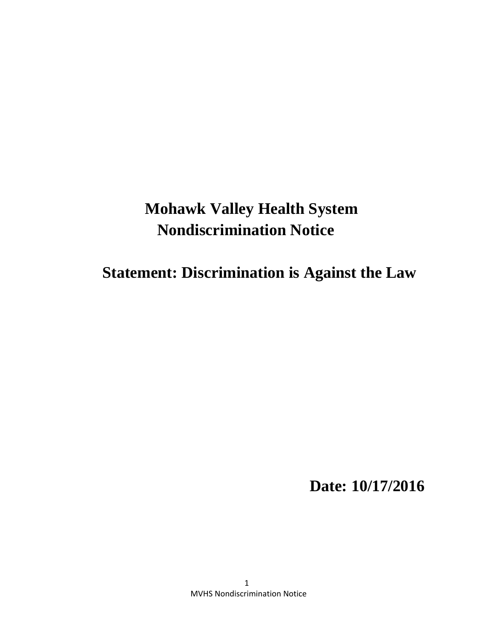# **Mohawk Valley Health System Nondiscrimination Notice**

 **Statement: Discrimination is Against the Law** 

 **Date: 10/17/2016**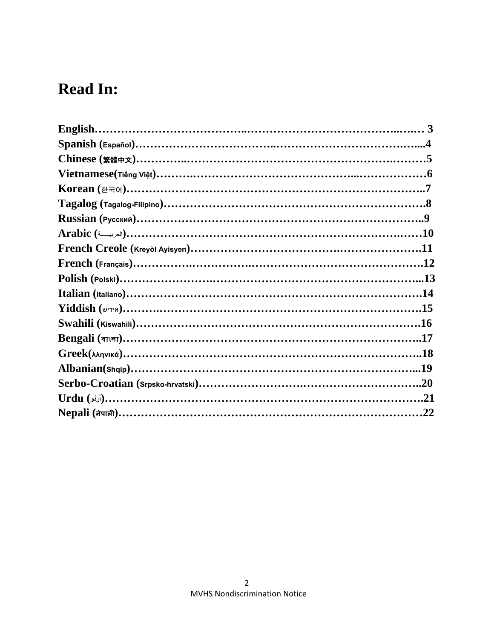## **Read In:**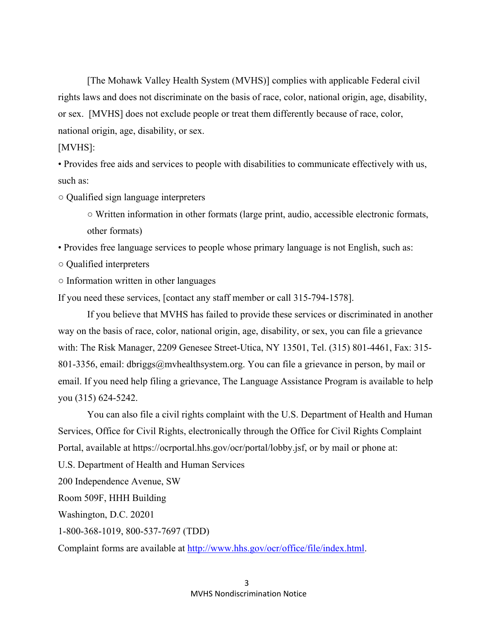[The Mohawk Valley Health System (MVHS)] complies with applicable Federal civil rights laws and does not discriminate on the basis of race, color, national origin, age, disability, or sex. [MVHS] does not exclude people or treat them differently because of race, color, national origin, age, disability, or sex.

### [MVHS]:

• Provides free aids and services to people with disabilities to communicate effectively with us, such as:

○ Qualified sign language interpreters

○ Written information in other formats (large print, audio, accessible electronic formats, other formats)

• Provides free language services to people whose primary language is not English, such as:

○ Qualified interpreters

○ Information written in other languages

If you need these services, [contact any staff member or call 315-794-1578].

If you believe that MVHS has failed to provide these services or discriminated in another way on the basis of race, color, national origin, age, disability, or sex, you can file a grievance with: The Risk Manager, 2209 Genesee Street-Utica, NY 13501, Tel. (315) 801-4461, Fax: 315- 801-3356, email: dbriggs@mvhealthsystem.org. You can file a grievance in person, by mail or email. If you need help filing a grievance, The Language Assistance Program is available to help you (315) 624-5242.

You can also file a civil rights complaint with the U.S. Department of Health and Human Services, Office for Civil Rights, electronically through the Office for Civil Rights Complaint Portal, available at https://ocrportal.hhs.gov/ocr/portal/lobby.jsf, or by mail or phone at:

U.S. Department of Health and Human Services

200 Independence Avenue, SW

Room 509F, HHH Building

Washington, D.C. 20201

1-800-368-1019, 800-537-7697 (TDD)

Complaint forms are available at http://www.hhs.gov/ocr/office/file/index.html.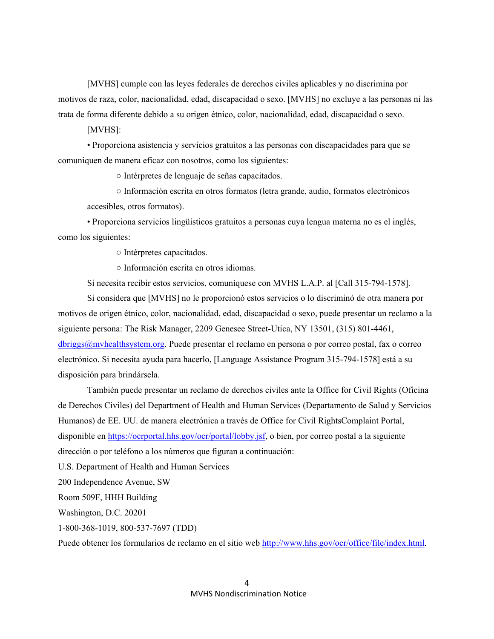[MVHS] cumple con las leyes federales de derechos civiles aplicables y no discrimina por motivos de raza, color, nacionalidad, edad, discapacidad o sexo. [MVHS] no excluye a las personas ni las trata de forma diferente debido a su origen étnico, color, nacionalidad, edad, discapacidad o sexo.

[MVHS]:

 • Proporciona asistencia y servicios gratuitos a las personas con discapacidades para que se comuniquen de manera eficaz con nosotros, como los siguientes:

○ Intérpretes de lenguaje de señas capacitados.

 ○ Información escrita en otros formatos (letra grande, audio, formatos electrónicos accesibles, otros formatos).

 • Proporciona servicios lingüísticos gratuitos a personas cuya lengua materna no es el inglés, como los siguientes:

○ Intérpretes capacitados.

○ Información escrita en otros idiomas.

Si necesita recibir estos servicios, comuníquese con MVHS L.A.P. al [Call 315-794-1578].

Si considera que [MVHS] no le proporcionó estos servicios o lo discriminó de otra manera por motivos de origen étnico, color, nacionalidad, edad, discapacidad o sexo, puede presentar un reclamo a la siguiente persona: The Risk Manager, 2209 Genesee Street-Utica, NY 13501, (315) 801-4461, dbriggs@mvhealthsystem.org. Puede presentar el reclamo en persona o por correo postal, fax o correo electrónico. Si necesita ayuda para hacerlo, [Language Assistance Program 315-794-1578] está a su disposición para brindársela.

También puede presentar un reclamo de derechos civiles ante la Office for Civil Rights (Oficina de Derechos Civiles) del Department of Health and Human Services (Departamento de Salud y Servicios Humanos) de EE. UU. de manera electrónica a través de Office for Civil RightsComplaint Portal, disponible en https://ocrportal.hhs.gov/ocr/portal/lobby.jsf, o bien, por correo postal a la siguiente dirección o por teléfono a los números que figuran a continuación:

U.S. Department of Health and Human Services

200 Independence Avenue, SW

Room 509F, HHH Building

Washington, D.C. 20201

1-800-368-1019, 800-537-7697 (TDD)

Puede obtener los formularios de reclamo en el sitio web http://www.hhs.gov/ocr/office/file/index.html.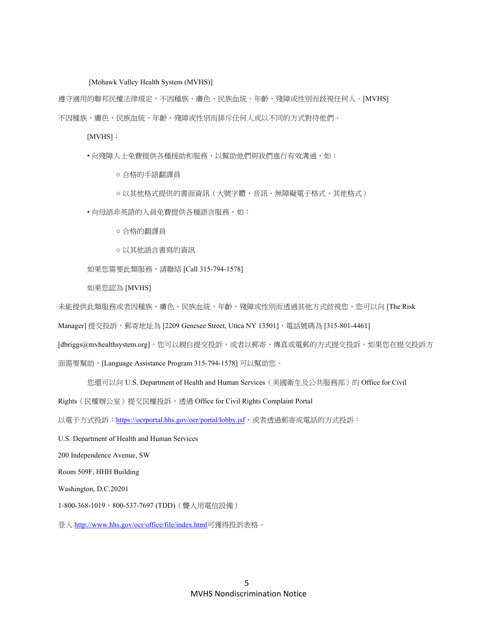[Mohawk Valley Health System (MVHS)]

遵守適用的聯邦民權法律規定,不因種族、膚色、民族血統、年齡、殘障或性別而歧視任何人。[MVHS] 不因種族、膚色、民族血統、年齡、殘障或性別而排斥任何人或以不同的方式對待他們。

[MVHS]:

• 向殘障人士免費提供各種援助和服務, 以幫助他們與我們進行有效溝通, 如:

○ 合格的手語翻譯員

○ 以其他格式提供的書面資訊(大號字體、音訊、無障礙電子格式、其他格式)

• 向母語非英語的人員免費提供各種語言服務,如:

○ 合格的翻譯員

○ 以其他語言書寫的資訊

如果您需要此類服務,請聯絡 [Call 315-794-1578]

如果您認為 [MVHS]

未能提供此類服務或者因種族、膚色、民族血統、年齡、殘障或性別而透過其他方式歧視您,您可以向 [The Risk

Manager] 提交投訴, 郵寄地址為 [2209 Genesee Street, Utica NY 13501], 電話號碼為 [315-801-4461]

[dbriggs@mvhealthsystem.org]。您可以親自提交投訴,或者以郵寄、傳真或電郵的方式提交投訴。如果您在提交投訴方

面需要幫助,[Language Assistance Program 315-794-1578] 可以幫助您。

您還可以向 U.S. Department of Health and Human Services (美國衛生及公共服務部)的 Office for Civil

Rights (民權辦公室)提交民權投訴,透過 Office for Civil Rights Complaint Portal

以電子方式投訴: https://ocrportal.hhs.gov/ocr/portal/lobby.jsf,或者透過郵寄或電話的方式投訴:

U.S. Department of Health and Human Services

200 Independence Avenue, SW

Room 509F, HHH Building

Washington, D.C.20201

1-800-368-1019, 800-537-7697 (TDD) ( 聾人用電信設備)

登入 http://www.hhs.gov/ocr/office/file/index.html可獲得投訴表格。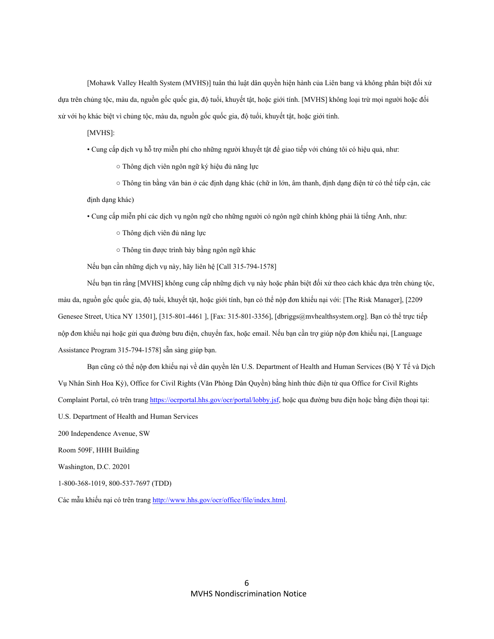[Mohawk Valley Health System (MVHS)] tuân thủ luật dân quyền hiện hành của Liên bang và không phân biệt đối xử dựa trên chủng tộc, màu da, nguồn gốc quốc gia, độ tuổi, khuyết tật, hoặc giới tính. [MVHS] không loại trừ mọi người hoặc đối xử với họ khác biệt vì chủng tộc, màu da, nguồn gốc quốc gia, độ tuổi, khuyết tật, hoặc giới tính.

#### [MVHS]:

• Cung cấp dịch vụ hỗ trợ miễn phí cho những người khuyết tật để giao tiếp với chúng tôi có hiệu quả, như:

○ Thông dịch viên ngôn ngữ ký hiệu đủ năng lực

 ○ Thông tin bằng văn bản ở các định dạng khác (chữ in lớn, âm thanh, định dạng điện tử có thể tiếp cận, các định dạng khác)

• Cung cấp miễn phí các dịch vụ ngôn ngữ cho những người có ngôn ngữ chính không phải là tiếng Anh, như:

○ Thông dịch viên đủ năng lực

○ Thông tin được trình bày bằng ngôn ngữ khác

Nếu bạn cần những dịch vụ này, hãy liên hệ [Call 315-794-1578]

Nếu bạn tin rằng [MVHS] không cung cấp những dịch vụ này hoặc phân biệt đối xử theo cách khác dựa trên chủng tộc, màu da, nguồn gốc quốc gia, độ tuổi, khuyết tật, hoặc giới tính, bạn có thể nộp đơn khiếu nại với: [The Risk Manager], [2209 Genesee Street, Utica NY 13501], [315-801-4461], [Fax: 315-801-3356], [dbriggs@mvhealthsystem.org]. Ban có thể trực tiếp nộp đơn khiếu nại hoặc gửi qua đường bưu điện, chuyển fax, hoặc email. Nếu bạn cần trợ giúp nộp đơn khiếu nại, [Language Assistance Program 315-794-1578] sẵn sàng giúp ban.

Bạn cũng có thể nộp đơn khiếu nại về dân quyền lên U.S. Department of Health and Human Services (Bộ Y Tế và Dịch Vụ Nhân Sinh Hoa Kỳ), Office for Civil Rights (Văn Phòng Dân Quyền) bằng hình thức điện tử qua Office for Civil Rights Complaint Portal, có trên trang https://ocrportal.hhs.gov/ocr/portal/lobby.jsf, hoặc qua đường bưu điện hoặc bằng điện thoại tại: U.S. Department of Health and Human Services 200 Independence Avenue, SW Room 509F, HHH Building Washington, D.C. 20201 1-800-368-1019, 800-537-7697 (TDD)

Các mẫu khiếu nại có trên trang http://www.hhs.gov/ocr/office/file/index.html.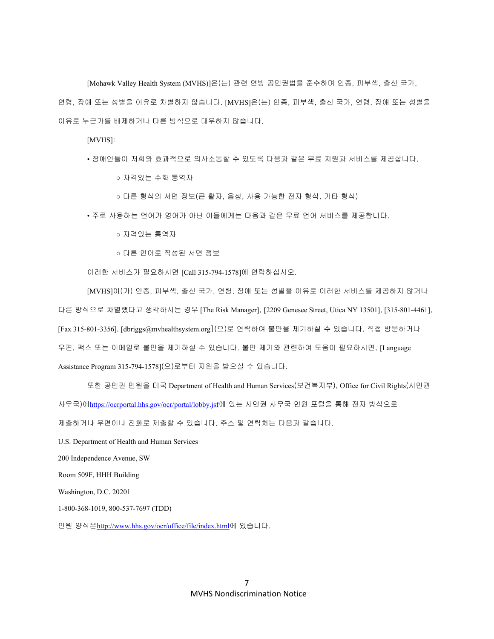[Mohawk Valley Health System (MVHS)]은(는) 관련 연방 공민권법을 준수하며 인종, 피부색, 출신 국가, 연령, 장애 또는 성별을 이유로 차별하지 않습니다. [MVHS]은(는) 인종, 피부색, 출신 국가, 연령, 장애 또는 성별을 이유로 누군가를 배제하거나 다른 방식으로 대우하지 않습니다.

[MVHS]:

• 장애인들이 저희와 효과적으로 의사소통할 수 있도록 다음과 같은 무료 지원과 서비스를 제공합니다.

○ 자격있는 수화 통역자

○ 다른 형식의 서면 정보(큰 활자, 음성, 사용 가능한 전자 형식, 기타 형식)

• 주로 사용하는 언어가 영어가 아닌 이들에게는 다음과 같은 무료 언어 서비스를 제공합니다.

○ 자격있는 통역자

○ 다른 언어로 작성된 서면 정보

이러한 서비스가 필요하시면 [Call 315-794-1578]에 연락하십시오.

[MVHS]이(가) 인종, 피부색, 출신 국가, 연령, 장애 또는 성별을 이유로 이러한 서비스를 제공하지 않거나 다른 방식으로 차별했다고 생각하시는 경우 [The Risk Manager], [2209 Genesee Street, Utica NY 13501], [315-801-4461], [Fax 315-801-3356], [dbriggs@mvhealthsystem.org](으)로 연락하여 불만을 제기하실 수 있습니다. 직접 방문하거나 우편, 팩스 또는 이메일로 불만을 제기하실 수 있습니다. 불만 제기와 관련하여 도움이 필요하시면, [Language Assistance Program 315-794-1578](으)로부터 지원을 받으실 수 있습니다.

또한 공민권 민원을 미국 Department of Health and Human Services(보건복지부), Office for Civil Rights(시민권 사무국)에https://ocrportal.hhs.gov/ocr/portal/lobby.jsf에 있는 시민권 사무국 민원 포털을 통해 전자 방식으로 제출하거나 우편이나 전화로 제출할 수 있습니다. 주소 및 연락처는 다음과 같습니다.

U.S. Department of Health and Human Services

200 Independence Avenue, SW

Room 509F, HHH Building

Washington, D.C. 20201

1-800-368-1019, 800-537-7697 (TDD)

민원 양식은http://www.hhs.gov/ocr/office/file/index.html에 있습니다.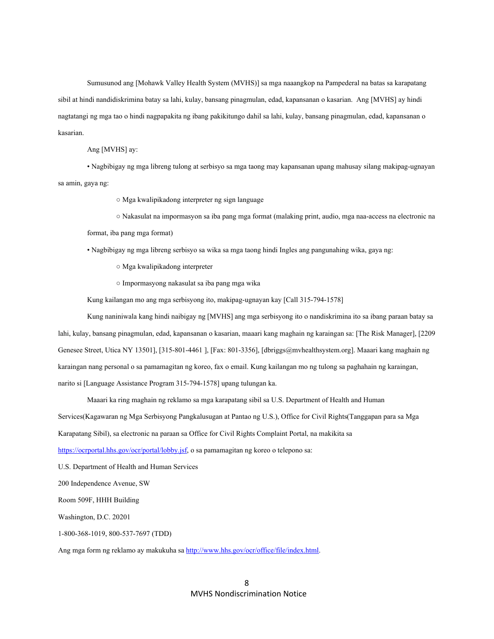Sumusunod ang [Mohawk Valley Health System (MVHS)] sa mga naaangkop na Pampederal na batas sa karapatang sibil at hindi nandidiskrimina batay sa lahi, kulay, bansang pinagmulan, edad, kapansanan o kasarian. Ang [MVHS] ay hindi nagtatangi ng mga tao o hindi nagpapakita ng ibang pakikitungo dahil sa lahi, kulay, bansang pinagmulan, edad, kapansanan o kasarian.

#### Ang [MVHS] ay:

 • Nagbibigay ng mga libreng tulong at serbisyo sa mga taong may kapansanan upang mahusay silang makipag-ugnayan sa amin, gaya ng:

○ Mga kwalipikadong interpreter ng sign language

○ Nakasulat na impormasyon sa iba pang mga format (malaking print, audio, mga naa-access na electronic na

format, iba pang mga format)

• Nagbibigay ng mga libreng serbisyo sa wika sa mga taong hindi Ingles ang pangunahing wika, gaya ng:

○ Mga kwalipikadong interpreter

○ Impormasyong nakasulat sa iba pang mga wika

Kung kailangan mo ang mga serbisyong ito, makipag-ugnayan kay [Call 315-794-1578]

Kung naniniwala kang hindi naibigay ng [MVHS] ang mga serbisyong ito o nandiskrimina ito sa ibang paraan batay sa lahi, kulay, bansang pinagmulan, edad, kapansanan o kasarian, maaari kang maghain ng karaingan sa: [The Risk Manager], [2209 Genesee Street, Utica NY 13501], [315-801-4461 ], [Fax: 801-3356], [dbriggs@mvhealthsystem.org]. Maaari kang maghain ng karaingan nang personal o sa pamamagitan ng koreo, fax o email. Kung kailangan mo ng tulong sa paghahain ng karaingan, narito si [Language Assistance Program 315-794-1578] upang tulungan ka.

Maaari ka ring maghain ng reklamo sa mga karapatang sibil sa U.S. Department of Health and Human

Services(Kagawaran ng Mga Serbisyong Pangkalusugan at Pantao ng U.S.), Office for Civil Rights(Tanggapan para sa Mga

Karapatang Sibil), sa electronic na paraan sa Office for Civil Rights Complaint Portal, na makikita sa

https://ocrportal.hhs.gov/ocr/portal/lobby.jsf, o sa pamamagitan ng koreo o telepono sa:

U.S. Department of Health and Human Services

200 Independence Avenue, SW

Room 509F, HHH Building

Washington, D.C. 20201

1-800-368-1019, 800-537-7697 (TDD)

Ang mga form ng reklamo ay makukuha sa http://www.hhs.gov/ocr/office/file/index.html.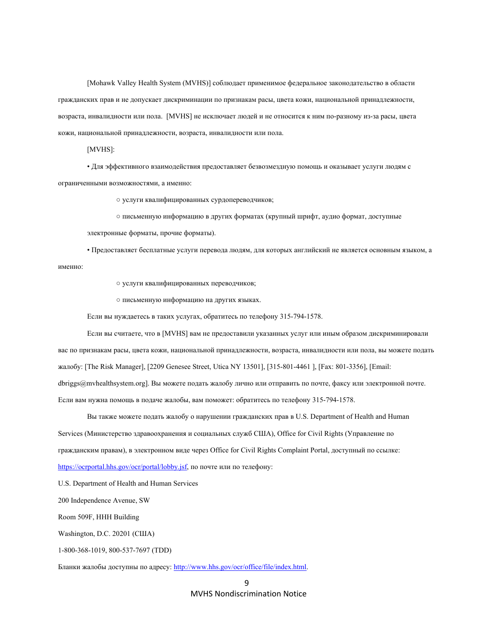[Mohawk Valley Health System (MVHS)] соблюдает применимое федеральное законодательство в области гражданских прав и не допускает дискриминации по признакам расы, цвета кожи, национальной принадлежности, возраста, инвалидности или пола. [MVHS] не исключает людей и не относится к ним по-разному из-за расы, цвета кожи, национальной принадлежности, возраста, инвалидности или пола.

[MVHS]:

 • Для эффективного взаимодействия предоставляет безвозмездную помощь и оказывает услуги людям с ограниченными возможностями, а именно:

○ услуги квалифицированных сурдопереводчиков;

○ письменную информацию в других форматах (крупный шрифт, аудио формат, доступные

электронные форматы, прочие форматы).

 • Предоставляет бесплатные услуги перевода людям, для которых английский не является основным языком, а именно:

○ услуги квалифицированных переводчиков;

○ письменную информацию на других языках.

Если вы нуждаетесь в таких услугах, обратитесь по телефону 315-794-1578.

Если вы считаете, что в [MVHS] вам не предоставили указанных услуг или иным образом дискриминировали вас по признакам расы, цвета кожи, национальной принадлежности, возраста, инвалидности или пола, вы можете подать жалобу: [The Risk Manager], [2209 Genesee Street, Utica NY 13501], [315-801-4461 ], [Fax: 801-3356], [Email: dbriggs@mvhealthsystem.org]. Вы можете подать жалобу лично или отправить по почте, факсу или электронной почте. Если вам нужна помощь в подаче жалобы, вам поможет: обратитесь по телефону 315-794-1578.

Вы также можете подать жалобу о нарушении гражданских прав в U.S. Department of Health and Human Services (Министерство здравоохранения и социальных служб США), Office for Civil Rights (Управление по гражданским правам), в электронном виде через Office for Civil Rights Complaint Portal, доступный по ссылке: https://ocrportal.hhs.gov/ocr/portal/lobby.jsf, по почте или по телефону:

U.S. Department of Health and Human Services

200 Independence Avenue, SW

Room 509F, HHH Building

Washington, D.C. 20201 (США)

1-800-368-1019, 800-537-7697 (TDD)

Бланки жалобы доступны по адресу: http://www.hhs.gov/ocr/office/file/index.html.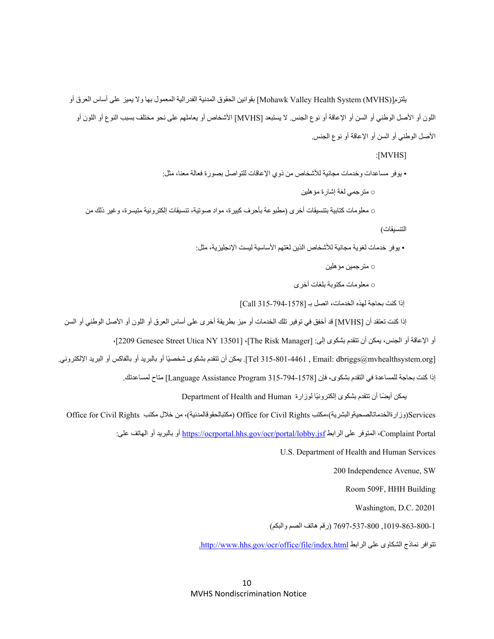يلتزم[(MVHS (System Health Valley Mohawk [بقوانين الحقوق المدنية الفدرالية المعمول بھا وال يميز على أساس العرق أو اللون أو األصل الوطني أو السن أو اإلعاقة أو نوع الجنس. ال يستبعد [MVHS [األشخاص أو يعاملھم على نحو مختلف بسبب النوع أو اللون أو األصل الوطني أو السن أو اإلعاقة أو نوع الجنس.

:[MVHS]

 • يوفر مساعدات وخدمات مجانية لألشخاص من ذوي اإلعاقات للتواصل بصورة فعالة معنا، مثل: ○ مترجمي لغة إشارة مؤھلين

○ معلومات كتابية بتنسيقات أخرى (مطبوعة بأحرف كبيرة، مواد صوتية، تنسيقات إلكترونية متيسرة، وغير ذلك من

التنسيقات)

• يوفر خدمات لغوية مجانية لألشخاص الذين لغتھم األساسية ليست اإلنجليزية، مثل:

○ مترجمين مؤھلين

○ معلومات مكتوبة بلغات أخرى

إذا كنت بحاجة لھذه الخدمات، اتصل بـ [315-794-1578 Call[

إذا كنت تعتقد أن [MVHS [قد أخفق في توفير تلك الخدمات أو ميز بطريقة أخرى على أساس العرق أو اللون أو األصل الوطني أو السن

أو الإعاقة أو الجنس، يمكن أن تتقدم بشكوى إلى: [The Risk Manager]، [2209 Genesee Street Utica NY 13501]،

[Tel 315-801-4461 , Email: dbriggs@mvhealthsystem.org]. يمكن أن تتقدم بشكوى شخصيًا أو بالبريد أو بالفاكس أو البريد الإلكتروني.

إذا كنت بحاجة للمساعدة في التقدم بشكوى، فإن [315-794-1578 Program Assistance Language [متاح لمساعدتك.

يمكن أيضًا أن تتقدم بشكوى إلكترونيًا لوزارة Department of Health and Human

Office for Civil Rights مكتب خالل من ،)مكتبالحقوقالمدنية (Office for Civil Rights مكتب،)وزارةالخدماتالصحيةوالبشرية(Services

:على العاتف على الرابط https://ocrportal.hhs.gov/ocr/portal/lobby.jsf أو بالبريد أو المهاتف على المتوفر على المت

U.S. Department of Health and Human Services

200 Independence Avenue, SW

Room 509F, HHH Building

Washington, D.C. 20201

,1019-863-800-1 7697-537-800 (رقم ھاتف الصم والبكم)

.http://www.hhs.gov/ocr/office/file/index.html الرابط على الشكاوى نماذج تتوافر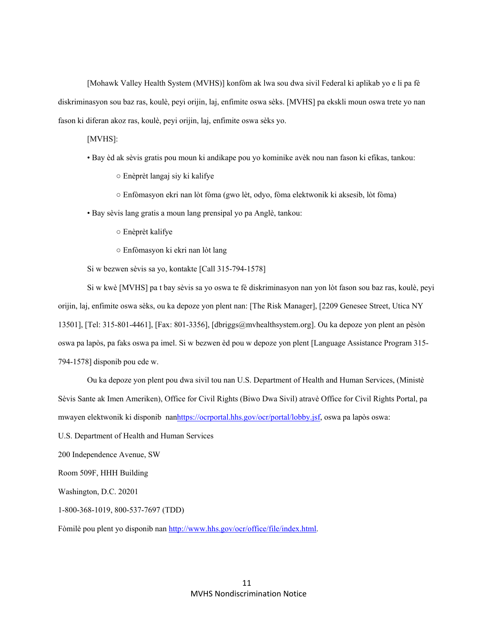[Mohawk Valley Health System (MVHS)] konfòm ak lwa sou dwa sivil Federal ki aplikab yo e li pa fè diskriminasyon sou baz ras, koulè, peyi orijin, laj, enfimite oswa sèks. [MVHS] pa ekskli moun oswa trete yo nan fason ki diferan akoz ras, koulè, peyi orijin, laj, enfimite oswa sèks yo.

[MVHS]:

• Bay èd ak sèvis gratis pou moun ki andikape pou yo kominike avèk nou nan fason ki efikas, tankou:

○ Enèprèt langaj siy ki kalifye

○ Enfòmasyon ekri nan lòt fòma (gwo lèt, odyo, fòma elektwonik ki aksesib, lòt fòma)

• Bay sèvis lang gratis a moun lang prensipal yo pa Anglè, tankou:

- Enèprèt kalifye
- Enfòmasyon ki ekri nan lòt lang

Si w bezwen sèvis sa yo, kontakte [Call 315-794-1578]

Si w kwè [MVHS] pa t bay sèvis sa yo oswa te fè diskriminasyon nan yon lòt fason sou baz ras, koulè, peyi orijin, laj, enfimite oswa sèks, ou ka depoze yon plent nan: [The Risk Manager], [2209 Genesee Street, Utica NY 13501], [Tel: 315-801-4461], [Fax: 801-3356], [dbriggs@mvhealthsystem.org]. Ou ka depoze yon plent an pèsòn oswa pa lapòs, pa faks oswa pa imel. Si w bezwen èd pou w depoze yon plent [Language Assistance Program 315- 794-1578] disponib pou ede w.

Ou ka depoze yon plent pou dwa sivil tou nan U.S. Department of Health and Human Services, (Ministè Sèvis Sante ak Imen Ameriken), Office for Civil Rights (Biwo Dwa Sivil) atravè Office for Civil Rights Portal, pa mwayen elektwonik ki disponib nanhttps://ocrportal.hhs.gov/ocr/portal/lobby.jsf, oswa pa lapòs oswa:

U.S. Department of Health and Human Services

200 Independence Avenue, SW

Room 509F, HHH Building

Washington, D.C. 20201

1-800-368-1019, 800-537-7697 (TDD)

Fòmilè pou plent yo disponib nan http://www.hhs.gov/ocr/office/file/index.html.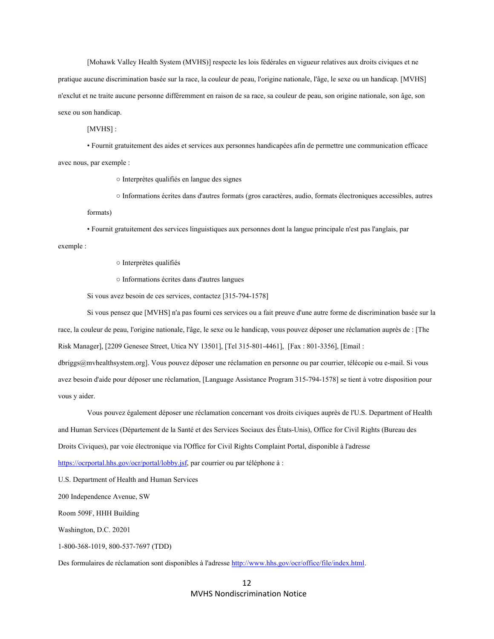[Mohawk Valley Health System (MVHS)] respecte les lois fédérales en vigueur relatives aux droits civiques et ne pratique aucune discrimination basée sur la race, la couleur de peau, l'origine nationale, l'âge, le sexe ou un handicap. [MVHS] n'exclut et ne traite aucune personne différemment en raison de sa race, sa couleur de peau, son origine nationale, son âge, son sexe ou son handicap.

[MVHS] :

 • Fournit gratuitement des aides et services aux personnes handicapées afin de permettre une communication efficace avec nous, par exemple :

○ Interprètes qualifiés en langue des signes

○ Informations écrites dans d'autres formats (gros caractères, audio, formats électroniques accessibles, autres

formats)

• Fournit gratuitement des services linguistiques aux personnes dont la langue principale n'est pas l'anglais, par

exemple :

○ Interprètes qualifiés

○ Informations écrites dans d'autres langues

Si vous avez besoin de ces services, contactez [315-794-1578]

Si vous pensez que [MVHS] n'a pas fourni ces services ou a fait preuve d'une autre forme de discrimination basée sur la race, la couleur de peau, l'origine nationale, l'âge, le sexe ou le handicap, vous pouvez déposer une réclamation auprès de : [The Risk Manager], [2209 Genesee Street, Utica NY 13501], [Tel 315-801-4461], [Fax : 801-3356], [Email : dbriggs@mvhealthsystem.org]. Vous pouvez déposer une réclamation en personne ou par courrier, télécopie ou e-mail. Si vous

avez besoin d'aide pour déposer une réclamation, [Language Assistance Program 315-794-1578] se tient à votre disposition pour vous y aider.

Vous pouvez également déposer une réclamation concernant vos droits civiques auprès de l'U.S. Department of Health and Human Services (Département de la Santé et des Services Sociaux des États-Unis), Office for Civil Rights (Bureau des Droits Civiques), par voie électronique via l'Office for Civil Rights Complaint Portal, disponible à l'adresse https://ocrportal.hhs.gov/ocr/portal/lobby.jsf, par courrier ou par téléphone à :

U.S. Department of Health and Human Services

200 Independence Avenue, SW

Room 509F, HHH Building

Washington, D.C. 20201

1-800-368-1019, 800-537-7697 (TDD)

Des formulaires de réclamation sont disponibles à l'adresse http://www.hhs.gov/ocr/office/file/index.html.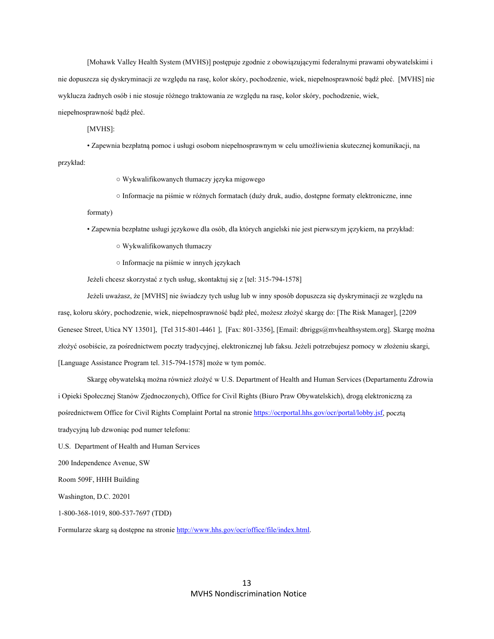[Mohawk Valley Health System (MVHS)] postępuje zgodnie z obowiązującymi federalnymi prawami obywatelskimi i nie dopuszcza się dyskryminacji ze względu na rasę, kolor skóry, pochodzenie, wiek, niepełnosprawność bądź płeć. [MVHS] nie wyklucza żadnych osób i nie stosuje różnego traktowania ze względu na rasę, kolor skóry, pochodzenie, wiek, niepełnosprawność bądź płeć.

[MVHS]:

 • Zapewnia bezpłatną pomoc i usługi osobom niepełnosprawnym w celu umożliwienia skutecznej komunikacji, na przykład:

○ Wykwalifikowanych tłumaczy języka migowego

○ Informacje na piśmie w różnych formatach (duży druk, audio, dostępne formaty elektroniczne, inne

formaty)

• Zapewnia bezpłatne usługi językowe dla osób, dla których angielski nie jest pierwszym językiem, na przykład:

○ Wykwalifikowanych tłumaczy

○ Informacje na piśmie w innych językach

Jeżeli chcesz skorzystać z tych usług, skontaktuj się z [tel: 315-794-1578]

Jeżeli uważasz, że [MVHS] nie świadczy tych usług lub w inny sposób dopuszcza się dyskryminacji ze względu na rasę, koloru skóry, pochodzenie, wiek, niepełnosprawność bądź płeć, możesz złożyć skargę do: [The Risk Manager], [2209 Genesee Street, Utica NY 13501], [Tel 315-801-4461 ], [Fax: 801-3356], [Email: dbriggs@mvhealthsystem.org]. Skargę można złożyć osobiście, za pośrednictwem poczty tradycyjnej, elektronicznej lub faksu. Jeżeli potrzebujesz pomocy w złożeniu skargi, [Language Assistance Program tel. 315-794-1578] może w tym pomóc.

Skargę obywatelską można również złożyć w U.S. Department of Health and Human Services (Departamentu Zdrowia i Opieki Społecznej Stanów Zjednoczonych), Office for Civil Rights (Biuro Praw Obywatelskich), drogą elektroniczną za pośrednictwem Office for Civil Rights Complaint Portal na stronie https://ocrportal.hhs.gov/ocr/portal/lobby.jsf, pocztą tradycyjną lub dzwoniąc pod numer telefonu:

U.S. Department of Health and Human Services

200 Independence Avenue, SW

Room 509F, HHH Building

Washington, D.C. 20201

1-800-368-1019, 800-537-7697 (TDD)

Formularze skarg są dostępne na stronie http://www.hhs.gov/ocr/office/file/index.html.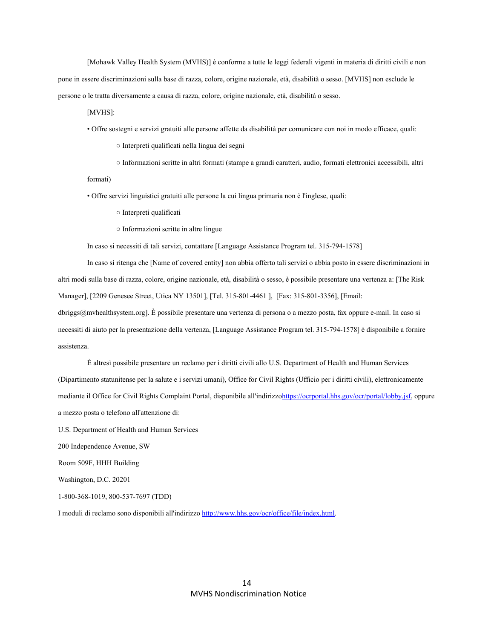[Mohawk Valley Health System (MVHS)] è conforme a tutte le leggi federali vigenti in materia di diritti civili e non pone in essere discriminazioni sulla base di razza, colore, origine nazionale, età, disabilità o sesso. [MVHS] non esclude le persone o le tratta diversamente a causa di razza, colore, origine nazionale, età, disabilità o sesso.

[MVHS]:

• Offre sostegni e servizi gratuiti alle persone affette da disabilità per comunicare con noi in modo efficace, quali:

○ Interpreti qualificati nella lingua dei segni

○ Informazioni scritte in altri formati (stampe a grandi caratteri, audio, formati elettronici accessibili, altri

formati)

• Offre servizi linguistici gratuiti alle persone la cui lingua primaria non è l'inglese, quali:

○ Interpreti qualificati

○ Informazioni scritte in altre lingue

In caso si necessiti di tali servizi, contattare [Language Assistance Program tel. 315-794-1578]

In caso si ritenga che [Name of covered entity] non abbia offerto tali servizi o abbia posto in essere discriminazioni in altri modi sulla base di razza, colore, origine nazionale, età, disabilità o sesso, è possibile presentare una vertenza a: [The Risk Manager], [2209 Genesee Street, Utica NY 13501], [Tel. 315-801-4461 ], [Fax: 315-801-3356], [Email:

dbriggs@mvhealthsystem.org]. È possibile presentare una vertenza di persona o a mezzo posta, fax oppure e-mail. In caso si necessiti di aiuto per la presentazione della vertenza, [Language Assistance Program tel. 315-794-1578] è disponibile a fornire assistenza.

È altresì possibile presentare un reclamo per i diritti civili allo U.S. Department of Health and Human Services (Dipartimento statunitense per la salute e i servizi umani), Office for Civil Rights (Ufficio per i diritti civili), elettronicamente mediante il Office for Civil Rights Complaint Portal, disponibile all'indirizzohttps://ocrportal.hhs.gov/ocr/portal/lobby.jsf, oppure a mezzo posta o telefono all'attenzione di:

U.S. Department of Health and Human Services

200 Independence Avenue, SW

Room 509F, HHH Building

Washington, D.C. 20201

1-800-368-1019, 800-537-7697 (TDD)

I moduli di reclamo sono disponibili all'indirizzo http://www.hhs.gov/ocr/office/file/index.html.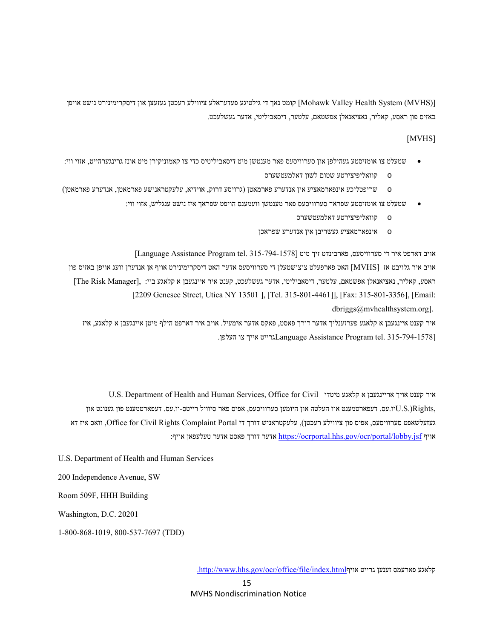[(MVHS (System Health Valley Mohawk [קומט נאך די גילטיגע פעדעראלע ציווילע רעכטן געזעצן און דיסקרימינירט נישט אויפן באזיס פון ראסע, קאליר, נאציאנאלן אפשטאם, עלטער, דיסאביליטי, אדער געשלעכט.

#### [MVHS]

- שטעלט צו אומזיסטע געהילפן און סערוויסעס פאר מענטשן מיט דיסאביליטיס כדי צו קאמוניקירן מיט אונז גרינגערהייט, אזוי ווי:
	- o קוואליפיצירטע שטום לשון דאלמעטשערס
- o שריפטליכע אינפארמאציע אין אנדערע פארמאטן (גרויסע דרוק, אוידיא, עלעקטראנישע פארמאטן, אנדערע פארמאטן)
	- שטעלט צו אומזיסטע שפראך סערוויסעס פאר מענטשן וועמענס הויפט שפראך איז נישט ענגליש, אזוי ווי:
		- o קוואליפיצירטע דאלמעטשערס
		- o אינפארמאציע געשריבן אין אנדערע שפראכן

 $[$ Language Assistance Program tel. 315-794-1578] אויב דארפט איר די סערוויסעס, פארבינדט זיך מיט

אויב איר גלויבט אז [MVHS [האט פארפעלט צוצושטעלן די סערוויסעס אדער האט דיסקרימינירט אויף אן אנדערן וועג אויפן באזיס פון ראסע, קאליר, נאציאנאלן אפשטאם, עלטער, דיסאביליטי, אדער געשלעכט, קענט איר איינגעבן א קלאגע ביי: ,[Manager Risk The [ [2209 Genesee Street, Utica NY 13501 ], [Tel. 315-801-4461]], [Fax: 315-801-3356], [Email:

dbriggs@mvhealthsystem.org].

איר קענט איינגעבן א קלאגע פערזענליך אדער דורך פאסט, פאקס אדער אימעיל. אויב איר דארפט הילף מיטן איינגעבן א קלאגע, איז .נרייט אייך צו העלפן. Language Assistance Program tel. 315-794-1578]

U.S. Department of Health and Human Services, Office for Civil מיטדי קלאגע א אריינגעבן אויך קענט איר יו.עס. דעפארטמענט אוו העלטה און היומען סערוויסעס, אפיס פאר סיוויל רייטס-יו.עס. דעפארטמענט פון גענונט און  $\rm U.S.$ Rights, געזעלשאפט סערוויסעס, אפיס פון ציווילע רעכטן), עלעקטראניש דורך די Portal Complaint Rights Civil for Office, וואס איז דא :אויף אדער דורך פאסט אדער שעלעפאן אויף://ocrportal.hhs.gov/ocr/portal/lobby.jsf אויף

U.S. Department of Health and Human Services

200 Independence Avenue, SW

Room 509F, HHH Building

Washington, D.C. 20201

1-800-868-1019, 800-537-7697 (TDD)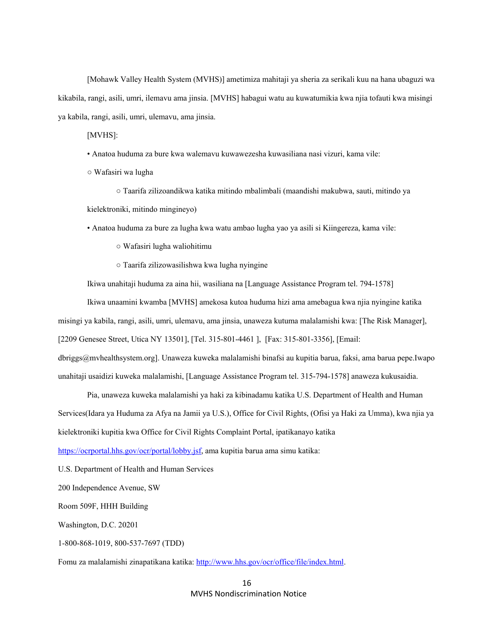[Mohawk Valley Health System (MVHS)] ametimiza mahitaji ya sheria za serikali kuu na hana ubaguzi wa kikabila, rangi, asili, umri, ilemavu ama jinsia. [MVHS] habagui watu au kuwatumikia kwa njia tofauti kwa misingi ya kabila, rangi, asili, umri, ulemavu, ama jinsia.

[MVHS]:

• Anatoa huduma za bure kwa walemavu kuwawezesha kuwasiliana nasi vizuri, kama vile:

○ Wafasiri wa lugha

 ○ Taarifa zilizoandikwa katika mitindo mbalimbali (maandishi makubwa, sauti, mitindo ya kielektroniki, mitindo mingineyo)

• Anatoa huduma za bure za lugha kwa watu ambao lugha yao ya asili si Kiingereza, kama vile:

○ Wafasiri lugha waliohitimu

○ Taarifa zilizowasilishwa kwa lugha nyingine

Ikiwa unahitaji huduma za aina hii, wasiliana na [Language Assistance Program tel. 794-1578]

Ikiwa unaamini kwamba [MVHS] amekosa kutoa huduma hizi ama amebagua kwa njia nyingine katika

misingi ya kabila, rangi, asili, umri, ulemavu, ama jinsia, unaweza kutuma malalamishi kwa: [The Risk Manager],

[2209 Genesee Street, Utica NY 13501], [Tel. 315-801-4461 ], [Fax: 315-801-3356], [Email:

dbriggs@mvhealthsystem.org]. Unaweza kuweka malalamishi binafsi au kupitia barua, faksi, ama barua pepe.Iwapo unahitaji usaidizi kuweka malalamishi, [Language Assistance Program tel. 315-794-1578] anaweza kukusaidia.

Pia, unaweza kuweka malalamishi ya haki za kibinadamu katika U.S. Department of Health and Human Services(Idara ya Huduma za Afya na Jamii ya U.S.), Office for Civil Rights, (Ofisi ya Haki za Umma), kwa njia ya kielektroniki kupitia kwa Office for Civil Rights Complaint Portal, ipatikanayo katika

https://ocrportal.hhs.gov/ocr/portal/lobby.jsf, ama kupitia barua ama simu katika:

U.S. Department of Health and Human Services

200 Independence Avenue, SW

Room 509F, HHH Building

Washington, D.C. 20201

1-800-868-1019, 800-537-7697 (TDD)

Fomu za malalamishi zinapatikana katika: http://www.hhs.gov/ocr/office/file/index.html.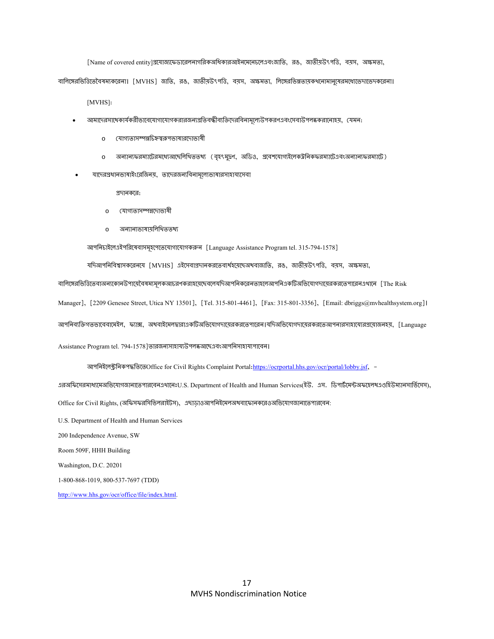[Name of covered entity]প্রযোজ্যফেডারেলনাগরিকঅধিকারআইনমেনেচেনেএবংজাতি, রঙ, জাতীয়উৎপত্তি, বয়স, অক্ষমতা,

বালিঙ্গেরভিত্তিতেবৈষম্যকরেনা। [MVHS] জাতি, রঙ, জাতীয়উৎপত্তি, বয়স, অক্ষমতা, লিঙ্গেরভিন্নতায়কখনোমানুষেরমধ্যেভেদাভেদকরেনা।

[MVHS]:

- আমাদেরসাথেকার্যকরীভাবেযোগাযোগকরারজন্যপ্রতিবন্ধীব্যক্তিদেরবিনামূল্যেউপকরণএবংসেবাউপলব্ধকরানোহয়, যেমন:
	- o যোগ্যতাসম্পন্নচিহ্ন্বরূপভাষারদোভাষী
	- o অন্যান্যফরম্যাটেরমধ্যেআছেলিথিততথ্য (বৃহৎমুদ্রণ, অডিও, প্রবেশযোগ্যইলেকউনিক্ফরম্যাটেএবংঅন্যান্যফরম্যাটে)
- যাদেরপ্রধানভাষাইংরেজিনয়, তাদেরজন্যবিনামূল্যেভাষারসাহায্যসেবা

pদানকের:

- o যোগ্যতাসম্পন্নদোভাষী
- o aনয্ানয্ভাষায়িলিখততথয্

আপনিচাইলেএইপরিষেবাসমূহপেতেযোগাযোগকরুন [Language Assistance Program tel. 315-794-1578]

যদিআপনিবিশ্বাসকরেনযে [MVHS] এইসেবাপ্রদানকরতেব্যর্থহয়েছেঅথবাজাতি, রঙ, জাতীয়উৎপত্তি, বয়স, অক্ষমতা,

বালিঙ্গেরভিত্তিতেবাঅন্যকোনউপায়েবৈষম্যমূলকআচরণকরাহয়েছেবলেযদিআপনিকরেনতাহলেআপনিএকটিঅভিযোগদামেরকরতেপারেনএথানে [The Risk

Manager], [2209 Genesee Street, Utica NY 13501], [Tel. 315-801-4461], [Fax: 315-801-3356], [Email: dbriggs@mvhealthsystem.org]।

আপনিব্যক্তিগতভাবেবামেইল, ফ্যাক্স, অথবাইমেলদ্বারাএকটিঅভিযোগদামেরকরতেপারেন।যদিঅভিযোগদামেরকরতেআপনারসাহাম্যেরপ্রয়োজনহয়, [Language

Assistance Program tel. 794-1578]তারজন্যসাহায্যউপলব্ধআছেএবংআপনিসাহায্যপাবেন।

আপনিইলেক্ট্ৰনিকপদ্ধতিতেOffice for Civil Rights Complaint Portal: https://ocrportal.hhs.gov/ocr/portal/lobby.jsf, -

এরঅফিসেরমাধ্যমেঅভিযোগজানাভেপারবেনএথানেঃU.S. Department of Health and Human Services(ইউ. এস. ডিপার্টমেন্টঅফহেলথএওহিউম্যানসার্ভিসেস), Office for Civil Rights, (অফিসফরসিভিলরাইটস), এছাড়াওআপনিইমেলঅথবাফোনকরেওঅভিযোগজানাভেপারবেন:

U.S. Department of Health and Human Services

200 Independence Avenue, SW

Room 509F, HHH Building

Washington, D.C. 20201

1-800-868-1019, 800-537-7697 (TDD)

http://www.hhs.gov/ocr/office/file/index.html.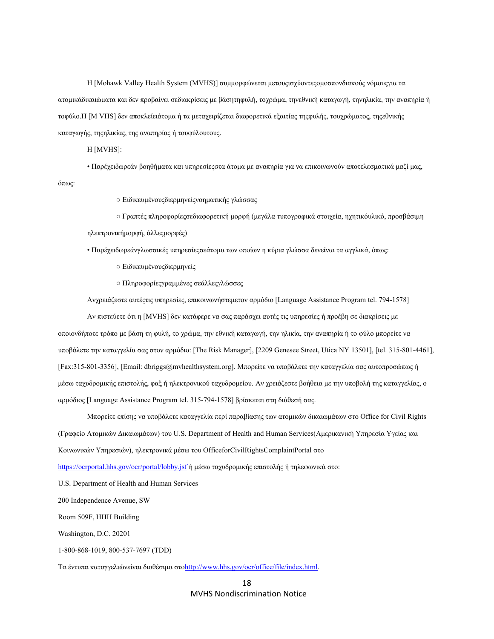Η [Mohawk Valley Health System (MVHS)] συμμορφώνεται μετουςισχύοντεςομοσπονδιακούς νόμουςγια τα ατομικάδικαιώματα και δεν προβαίνει σεδιακρίσεις με βάσητηφυλή, τοχρώμα, τηνεθνική καταγωγή, τηνηλικία, την αναπηρία ή τοφύλο.Η [M VHS] δεν αποκλείειάτομα ή τα μεταχειρίζεται διαφορετικά εξαιτίας τηςφυλής, τουχρώματος, τηςεθνικής καταγωγής, τηςηλικίας, της αναπηρίας ή τουφύλουτους.

Η [MVHS]:

 • Παρέχειδωρεάν βοηθήματα και υπηρεσίεςστα άτομα με αναπηρία για να επικοινωνούν αποτελεσματικά μαζί μας, όπως:

○ Ειδικευμένουςδιερμηνείςνοηματικής γλώσσας

 ○ Γραπτές πληροφορίεςσεδιαφορετική μορφή (μεγάλα τυπογραφικά στοιχεία, ηχητικόυλικό, προσβάσιμη ηλεκτρονικήμορφή, άλλεςμορφές)

• Παρέχειδωρεάνγλωσσικές υπηρεσίεςσεάτομα των οποίων η κύρια γλώσσα δενείναι τα αγγλικά, όπως:

- Ειδικευμένουςδιερμηνείς
- Πληροφορίεςγραμμένες σεάλλεςγλώσσες

Ανχρειάζεστε αυτέςτις υπηρεσίες, επικοινωνήστεμετον αρμόδιο [Language Assistance Program tel. 794-1578]

Αν πιστεύετε ότι η [MVHS] δεν κατάφερε να σας παράσχει αυτές τις υπηρεσίες ή προέβη σε διακρίσεις με οποιονδήποτε τρόπο με βάση τη φυλή, το χρώμα, την εθνική καταγωγή, την ηλικία, την αναπηρία ή το φύλο μπορείτε να υποβάλετε την καταγγελία σας στον αρμόδιο: [The Risk Manager], [2209 Genesee Street, Utica NY 13501], [tel. 315-801-4461], [Fax:315-801-3356], [Email: dbriggs@mvhealthsystem.org]. Μπορείτε να υποβάλετε την καταγγελία σας αυτοπροσώπως ή μέσω ταχυδρομικής επιστολής, φαξ ή ηλεκτρονικού ταχυδρομείου. Αν χρειάζεστε βοήθεια με την υποβολή της καταγγελίας, ο αρμόδιος [Language Assistance Program tel. 315-794-1578] βρίσκεται στη διάθεσή σας.

Μπορείτε επίσης να υποβάλετε καταγγελία περί παραβίασης των ατομικών δικαιωμάτων στο Office for Civil Rights (Γραφείο Ατομικών Δικαιωμάτων) του U.S. Department of Health and Human Services(Αμερικανική Υπηρεσία Υγείας και Κοινωνικών Υπηρεσιών), ηλεκτρονικά μέσω του OfficeforCivilRightsComplaintPortal στο

https://ocrportal.hhs.gov/ocr/portal/lobby.jsf ή μέσω ταχυδρομικής επιστολής ή τηλεφωνικά στο:

U.S. Department of Health and Human Services

200 Independence Avenue, SW

Room 509F, HHH Building

Washington, D.C. 20201

1-800-868-1019, 800-537-7697 (TDD)

Τα έντυπα καταγγελιώνείναι διαθέσιμα στοhttp://www.hhs.gov/ocr/office/file/index.html.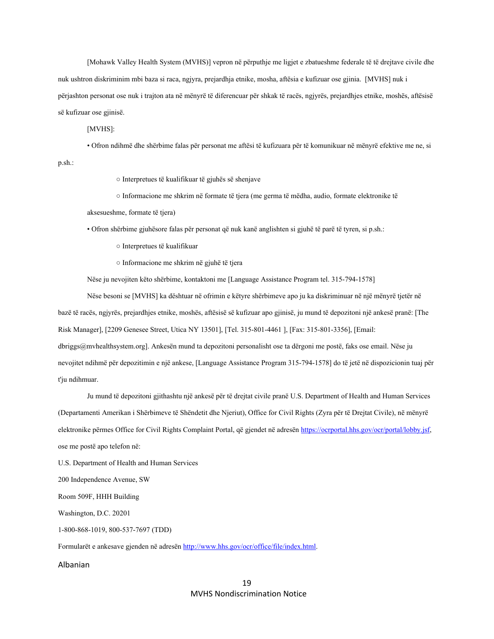[Mohawk Valley Health System (MVHS)] vepron në përputhje me ligjet e zbatueshme federale të të drejtave civile dhe nuk ushtron diskriminim mbi baza si raca, ngjyra, prejardhja etnike, mosha, aftësia e kufizuar ose gjinia. [MVHS] nuk i përjashton personat ose nuk i trajton ata në mënyrë të diferencuar për shkak të racës, ngjyrës, prejardhjes etnike, moshës, aftësisë së kufizuar ose gjinisë.

[MVHS]:

• Ofron ndihmë dhe shërbime falas për personat me aftësi të kufizuara për të komunikuar në mënyrë efektive me ne, si

p.sh.:

○ Interpretues të kualifikuar të gjuhës së shenjave

○ Informacione me shkrim në formate të tjera (me germa të mëdha, audio, formate elektronike të

aksesueshme, formate të tjera)

• Ofron shërbime gjuhësore falas për personat që nuk kanë anglishten si gjuhë të parë të tyren, si p.sh.:

- Interpretues të kualifikuar
- Informacione me shkrim në gjuhë të tjera

Nëse ju nevojiten këto shërbime, kontaktoni me [Language Assistance Program tel. 315-794-1578]

Nëse besoni se [MVHS] ka dështuar në ofrimin e këtyre shërbimeve apo ju ka diskriminuar në një mënyrë tjetër në bazë të racës, ngjyrës, prejardhjes etnike, moshës, aftësisë së kufizuar apo gjinisë, ju mund të depozitoni një ankesë pranë: [The Risk Manager], [2209 Genesee Street, Utica NY 13501], [Tel. 315-801-4461 ], [Fax: 315-801-3356], [Email: dbriggs@mvhealthsystem.org]. Ankesën mund ta depozitoni personalisht ose ta dërgoni me postë, faks ose email. Nëse ju nevojitet ndihmë për depozitimin e një ankese, [Language Assistance Program 315-794-1578] do të jetë në dispozicionin tuaj për

t'ju ndihmuar.

Ju mund të depozitoni gjithashtu një ankesë për të drejtat civile pranë U.S. Department of Health and Human Services (Departamenti Amerikan i Shërbimeve të Shëndetit dhe Njeriut), Office for Civil Rights (Zyra për të Drejtat Civile), në mënyrë elektronike përmes Office for Civil Rights Complaint Portal, që gjendet në adresën https://ocrportal.hhs.gov/ocr/portal/lobby.jsf, ose me postë apo telefon në:

U.S. Department of Health and Human Services

200 Independence Avenue, SW

Room 509F, HHH Building

Washington, D.C. 20201

1-800-868-1019, 800-537-7697 (TDD)

Formularët e ankesave gjenden në adresën http://www.hhs.gov/ocr/office/file/index.html.

#### Albanian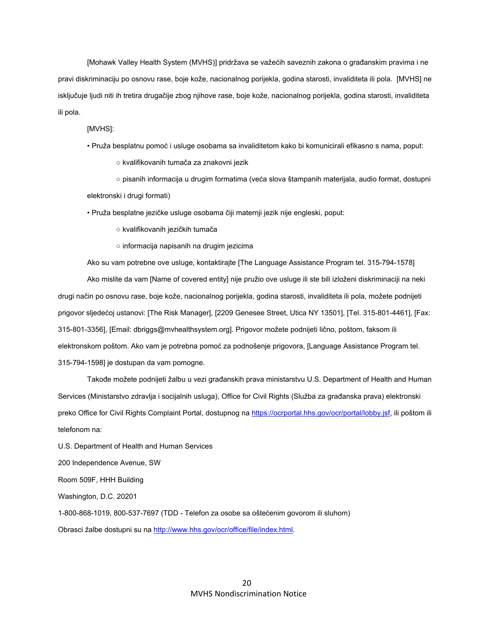[Mohawk Valley Health System (MVHS)] pridržava se važećih saveznih zakona o građanskim pravima i ne pravi diskriminaciju po osnovu rase, boje kože, nacionalnog porijekla, godina starosti, invaliditeta ili pola. [MVHS] ne isključuje ljudi niti ih tretira drugačije zbog njihove rase, boje kože, nacionalnog porijekla, godina starosti, invaliditeta ili pola.

#### [MVHS]:

• Pruža besplatnu pomoć i usluge osobama sa invaliditetom kako bi komunicirali efikasno s nama, poput:

○ kvalifikovanih tumača za znakovni jezik

 ○ pisanih informacija u drugim formatima (veća slova štampanih materijala, audio format, dostupni elektronski i drugi formati)

• Pruža besplatne jezičke usluge osobama čiji maternji jezik nije engleski, poput:

○ kvalifikovanih jezičkih tumača

○ informacija napisanih na drugim jezicima

Ako su vam potrebne ove usluge, kontaktirajte [The Language Assistance Program tel. 315-794-1578]

Ako mislite da vam [Name of covered entity] nije pružio ove usluge ili ste bili izloženi diskriminaciji na neki drugi način po osnovu rase, boje kože, nacionalnog porijekla, godina starosti, invaliditeta ili pola, možete podnijeti prigovor sljedećoj ustanovi: [The Risk Manager], [2209 Genesee Street, Utica NY 13501], [Tel. 315-801-4461], [Fax: 315-801-3356], [Email: dbriggs@mvhealthsystem.org]. Prigovor možete podnijeti lično, poštom, faksom ili elektronskom poštom. Ako vam je potrebna pomoć za podnošenje prigovora, [Language Assistance Program tel. 315-794-1598] je dostupan da vam pomogne.

Takođe možete podnijeti žalbu u vezi građanskih prava ministarstvu U.S. Department of Health and Human Services (Ministarstvo zdravlja i socijalnih usluga), Office for Civil Rights (Služba za građanska prava) elektronski preko Office for Civil Rights Complaint Portal, dostupnog na https://ocrportal.hhs.gov/ocr/portal/lobby.jsf, ili poštom ili telefonom na:

U.S. Department of Health and Human Services 200 Independence Avenue, SW Room 509F, HHH Building Washington, D.C. 20201 1-800-868-1019, 800-537-7697 (TDD - Telefon za osobe sa oštećenim govorom ili sluhom) Obrasci žalbe dostupni su na http://www.hhs.gov/ocr/office/file/index.html.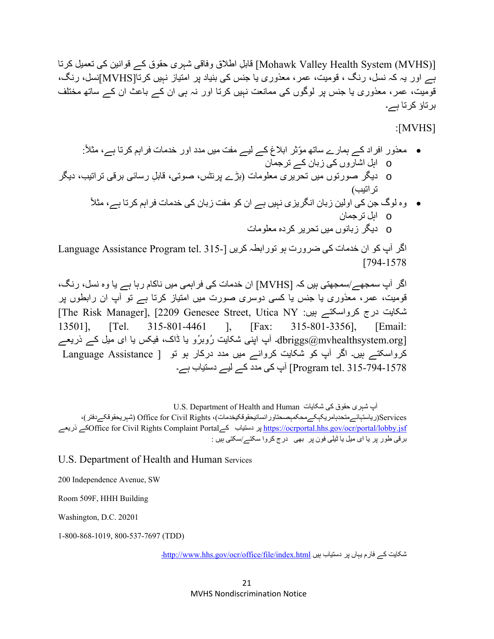[(Mohawk Valley Health System (MVHS)] قابل اطلاق وفاقی شہری حقوق کے قوانين کی تعميل کرتا ہے اور يہ کہ نسل، رنگ ، قوميت، عمر، معذوری يا جنس کی بنياد پر امتياز نہيں کرتا[MVHS[نسل، رنگ، قوميت، عمر، معذوری يا جنس پر لوگوں کی ممانعت نہيں کرتا اور نہ ہی ان کے باعث ان کے ساتھ مختلف برتاؤ کرتا ہے۔

:[MVHS]

- :ً معذور افراد کے ہمارے ساتھ ّموثر ابالغ کے ليے مفت ميں مدد اور خدمات فراہم کرتا ہے، مثال o اہل اشاروں کی زبان کے ترجمان
- o ديگر صورتوں ميں تحريری معلومات (بڑے پرنٹس، صوتی، ِ قابل رسائی برقی تراتيب، ديگر تراتيب)
	- ً وه لوگ جن کی اولين زبان انگريزی نہيں ہے ان کو مفت زبان کی خدمات فراہم کرتا ہے، مثال o اہل ترجمان o ديگر زبانوں ميں تحرير کرده معلومات

اگر آپ کو ان خدمات کی ضرورت ہو تورابطہ کریں [-135. Language Assistance Program tel. [794-1578

اگر آپ سمجھے/سمجھتی ہيں کہ [MVHS [ان خدمات کی فراہمی ميں ناکام رہا ہے يا وه نسل، رنگ، قوميت، عمر، معذوری يا جنس يا کسی دوسری صورت ميں امتياز کرتا ہے تو آپ ان رابطوں پر [The Risk Manager], [2209 Genesee Street, Utica NY :ہيں کرواسکتے درج شکايت 13501], [Tel. 315-801-4461 ], [Fax: 315-801-3356], [Email:  $\rm{dbriggs}$ (@dbriggs)۔ آپ اپنی شکايت رُوبرُو يا ڈاک، فيکس يا ای ميل کے ذريعے کرواسکتے ہيں۔ اگر آپ کو شکايت کروانے ميں مدد درکار ہو تو [ Assistance Language 315-794-1578 .tel Program [آپ کی مدد کے ليے دستياب ہے۔

U.S. Department of Health and Human شکايات کی حقوق شہری آپ ،(شہريحقوقکےدفتر (Office for Civil Rights ،(رياستہائےمتحدہامريکہکےمحکمہصحتاورانسانيحقوقکيخدمات(Services ذريعے کےOffice for Civil Rights Complaint Portalکے دستياب پر https://ocrportal.hhs.gov/ocr/portal/lobby.jsf برقی طور پر يا ای ميل يا ٹيلی فون پر بھی درج کروا سکتے/سکتی ہيں :

U.S. Department of Health and Human Services

200 Independence Avenue, SW

Room 509F, HHH Building

Washington, D.C. 20201

1-800-868-1019, 800-537-7697 (TDD)

شكايت كے فارم يہاں پر دستياب بيں http://www.hhs.gov/ocr/office/file/index.html